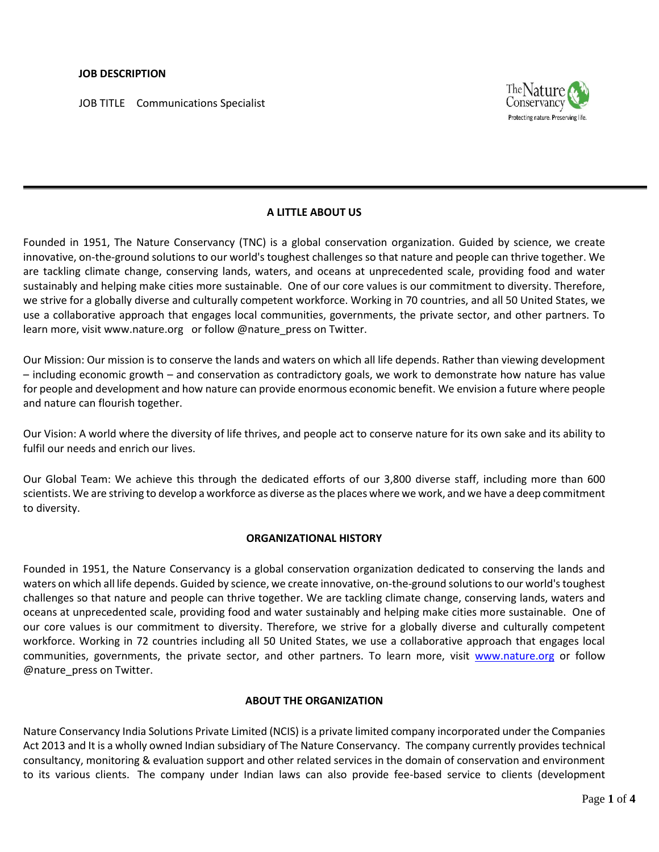JOB TITLE Communications Specialist



# **A LITTLE ABOUT US**

Founded in 1951, The Nature Conservancy (TNC) is a global conservation organization. Guided by science, we create innovative, on-the-ground solutions to our world's toughest challenges so that nature and people can thrive together. We are tackling climate change, conserving lands, waters, and oceans at unprecedented scale, providing food and water sustainably and helping make cities more sustainable. One of our core values is our commitment to diversity. Therefore, we strive for a globally diverse and culturally competent workforce. Working in 70 countries, and all 50 United States, we use a collaborative approach that engages local communities, governments, the private sector, and other partners. To learn more, visi[t www.nature.org](http://www.nature.org/) or follow @nature\_press on Twitter.

Our Mission: Our mission is to conserve the lands and waters on which all life depends. Rather than viewing development – including economic growth – and conservation as contradictory goals, we work to demonstrate how nature has value for people and development and how nature can provide enormous economic benefit. We envision a future where people and nature can flourish together.

Our Vision: A world where the diversity of life thrives, and people act to conserve nature for its own sake and its ability to fulfil our needs and enrich our lives.

Our Global Team: We achieve this through the dedicated efforts of our 3,800 [diverse staff,](http://www.nature.org/about-us/diversity/index.htm) including more than [600](http://www.nature.org/science-in-action/index.htm)  [scientists.](http://www.nature.org/science-in-action/index.htm) We are striving to develop a workforce as diverse as the places where we work, and we have a deep commitment to diversity.

#### **ORGANIZATIONAL HISTORY**

Founded in 1951, the Nature Conservancy is a global conservation organization dedicated to conserving the lands and waters on which all life depends. Guided by science, we create innovative, on-the-ground solutions to our world's toughest challenges so that nature and people can thrive together. We are tackling climate change, conserving lands, waters and oceans at unprecedented scale, providing food and water sustainably and helping make cities more sustainable. One of our core values is our commitment to diversity. Therefore, we strive for a globally diverse and culturally competent workforce. Working in 72 countries including all 50 United States, we use a collaborative approach that engages local communities, governments, the private sector, and other partners. To learn more, visit [www.nature.org](http://www.nature.org/) or follow @nature\_press on Twitter.

#### **ABOUT THE ORGANIZATION**

Nature Conservancy India Solutions Private Limited (NCIS) is a private limited company incorporated under the Companies Act 2013 and It is a wholly owned Indian subsidiary of The Nature Conservancy. The company currently provides technical consultancy, monitoring & evaluation support and other related services in the domain of conservation and environment to its various clients. The company under Indian laws can also provide fee-based service to clients (development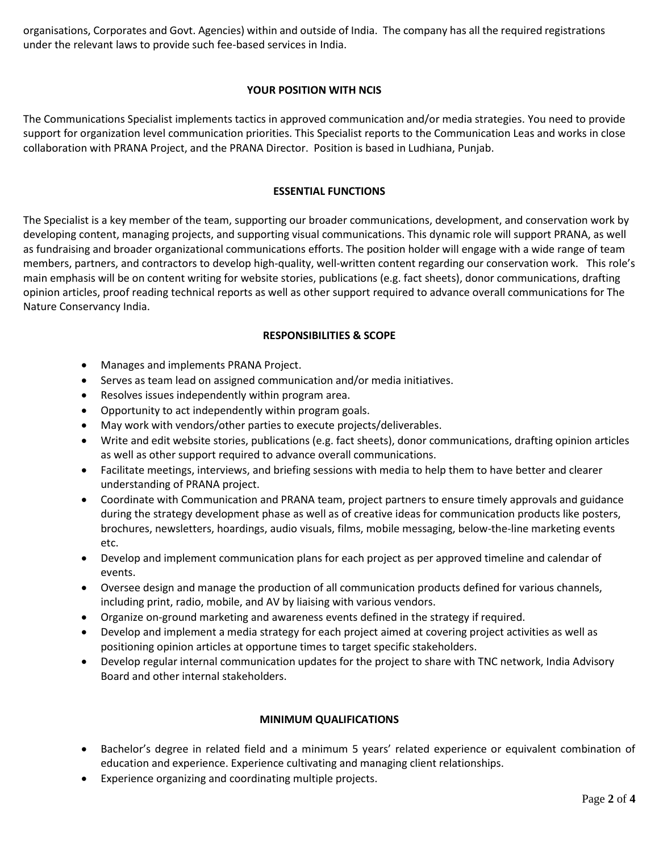organisations, Corporates and Govt. Agencies) within and outside of India. The company has all the required registrations under the relevant laws to provide such fee-based services in India.

# **YOUR POSITION WITH NCIS**

The Communications Specialist implements tactics in approved communication and/or media strategies. You need to provide support for organization level communication priorities. This Specialist reports to the Communication Leas and works in close collaboration with PRANA Project, and the PRANA Director. Position is based in Ludhiana, Punjab.

### **ESSENTIAL FUNCTIONS**

The Specialist is a key member of the team, supporting our broader communications, development, and conservation work by developing content, managing projects, and supporting visual communications. This dynamic role will support PRANA, as well as fundraising and broader organizational communications efforts. The position holder will engage with a wide range of team members, partners, and contractors to develop high-quality, well-written content regarding our conservation work. This role's main emphasis will be on content writing for website stories, publications (e.g. fact sheets), donor communications, drafting opinion articles, proof reading technical reports as well as other support required to advance overall communications for The Nature Conservancy India.

# **RESPONSIBILITIES & SCOPE**

- Manages and implements PRANA Project.
- Serves as team lead on assigned communication and/or media initiatives.
- Resolves issues independently within program area.
- Opportunity to act independently within program goals.
- May work with vendors/other parties to execute projects/deliverables.
- Write and edit website stories, publications (e.g. fact sheets), donor communications, drafting opinion articles as well as other support required to advance overall communications.
- Facilitate meetings, interviews, and briefing sessions with media to help them to have better and clearer understanding of PRANA project.
- Coordinate with Communication and PRANA team, project partners to ensure timely approvals and guidance during the strategy development phase as well as of creative ideas for communication products like posters, brochures, newsletters, hoardings, audio visuals, films, mobile messaging, below-the-line marketing events etc.
- Develop and implement communication plans for each project as per approved timeline and calendar of events.
- Oversee design and manage the production of all communication products defined for various channels, including print, radio, mobile, and AV by liaising with various vendors.
- Organize on-ground marketing and awareness events defined in the strategy if required.
- Develop and implement a media strategy for each project aimed at covering project activities as well as positioning opinion articles at opportune times to target specific stakeholders.
- Develop regular internal communication updates for the project to share with TNC network, India Advisory Board and other internal stakeholders.

# **MINIMUM QUALIFICATIONS**

- Bachelor's degree in related field and a minimum 5 years' related experience or equivalent combination of education and experience. Experience cultivating and managing client relationships.
- Experience organizing and coordinating multiple projects.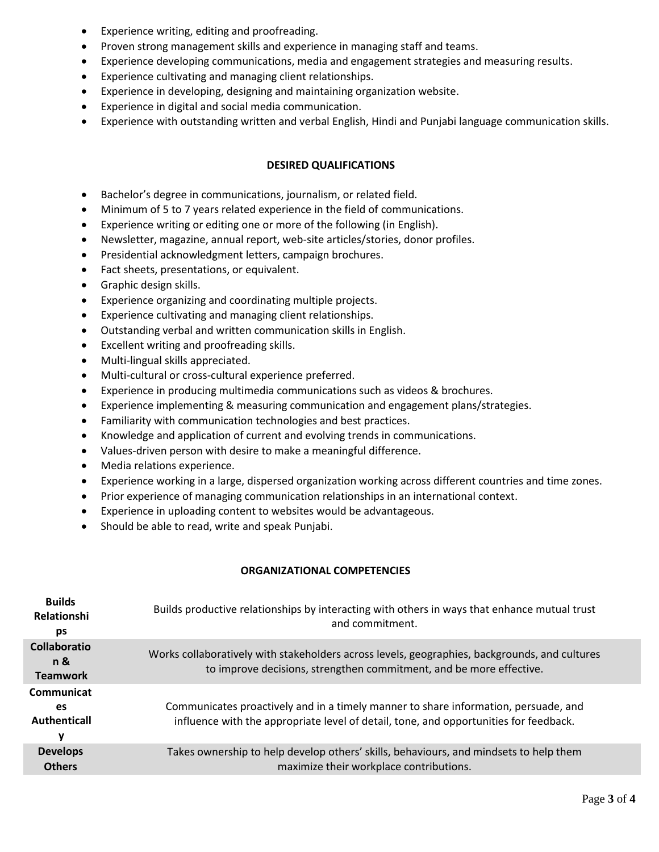- Experience writing, editing and proofreading.
- Proven strong management skills and experience in managing staff and teams.
- Experience developing communications, media and engagement strategies and measuring results.
- Experience cultivating and managing client relationships.
- Experience in developing, designing and maintaining organization website.
- Experience in digital and social media communication.
- Experience with outstanding written and verbal English, Hindi and Punjabi language communication skills.

#### **DESIRED QUALIFICATIONS**

- Bachelor's degree in communications, journalism, or related field.
- Minimum of 5 to 7 years related experience in the field of communications.
- Experience writing or editing one or more of the following (in English).
- Newsletter, magazine, annual report, web-site articles/stories, donor profiles.
- Presidential acknowledgment letters, campaign brochures.
- Fact sheets, presentations, or equivalent.
- Graphic design skills.
- Experience organizing and coordinating multiple projects.
- Experience cultivating and managing client relationships.
- Outstanding verbal and written communication skills in English.
- Excellent writing and proofreading skills.
- Multi-lingual skills appreciated.
- Multi-cultural or cross-cultural experience preferred.
- Experience in producing multimedia communications such as videos & brochures.
- Experience implementing & measuring communication and engagement plans/strategies.
- Familiarity with communication technologies and best practices.
- Knowledge and application of current and evolving trends in communications.
- Values-driven person with desire to make a meaningful difference.
- Media relations experience.
- Experience working in a large, dispersed organization working across different countries and time zones.
- Prior experience of managing communication relationships in an international context.
- Experience in uploading content to websites would be advantageous.
- Should be able to read, write and speak Punjabi.

# **ORGANIZATIONAL COMPETENCIES**

| <b>Builds</b><br>Relationshi<br>ps            | Builds productive relationships by interacting with others in ways that enhance mutual trust<br>and commitment.                                                              |
|-----------------------------------------------|------------------------------------------------------------------------------------------------------------------------------------------------------------------------------|
| <b>Collaboratio</b><br>n &<br><b>Teamwork</b> | Works collaboratively with stakeholders across levels, geographies, backgrounds, and cultures<br>to improve decisions, strengthen commitment, and be more effective.         |
| Communicat<br>es<br>Authenticall<br>۷         | Communicates proactively and in a timely manner to share information, persuade, and<br>influence with the appropriate level of detail, tone, and opportunities for feedback. |
| <b>Develops</b><br><b>Others</b>              | Takes ownership to help develop others' skills, behaviours, and mindsets to help them<br>maximize their workplace contributions.                                             |